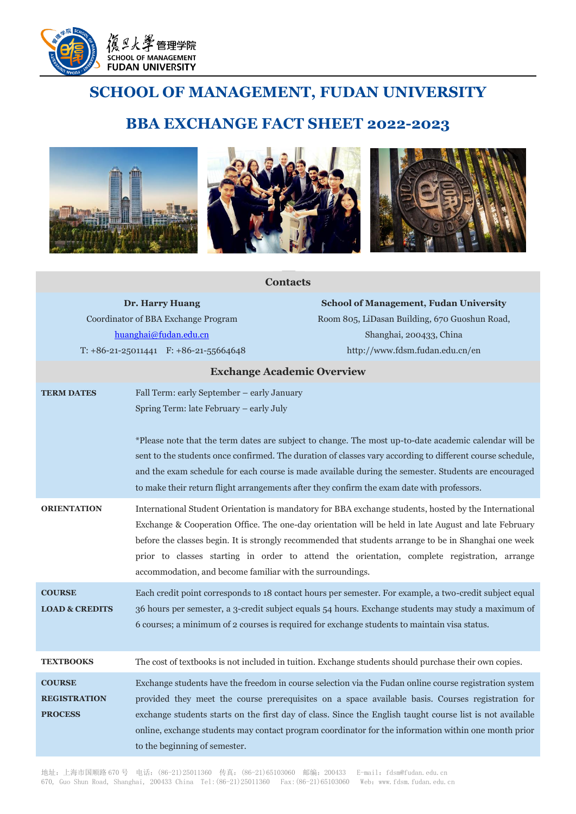

# **SCHOOL OF MANAGEMENT, FUDAN UNIVERSITY**

## **BBA EXCHANGE FACT SHEET 2022-2023**



## **Contacts**

**Dr. Harry Huang** Coordinator of BBA Exchange Program [huanghai@fudan.edu.cn](mailto:huanghai@fudan.edu.cn) T: +86-21-25011441 F: +86-21-55664648

**School of Management, Fudan University** Room 805, LiDasan Building, 670 Guoshun Road, Shanghai, 200433, China http://www.fdsm.fudan.edu.cn/en

#### **Exchange Academic Overview**

| <b>TERM DATES</b>                                      | Fall Term: early September - early January<br>Spring Term: late February - early July<br>*Please note that the term dates are subject to change. The most up-to-date academic calendar will be<br>sent to the students once confirmed. The duration of classes vary according to different course schedule,<br>and the exam schedule for each course is made available during the semester. Students are encouraged<br>to make their return flight arrangements after they confirm the exam date with professors. |
|--------------------------------------------------------|-------------------------------------------------------------------------------------------------------------------------------------------------------------------------------------------------------------------------------------------------------------------------------------------------------------------------------------------------------------------------------------------------------------------------------------------------------------------------------------------------------------------|
| <b>ORIENTATION</b>                                     | International Student Orientation is mandatory for BBA exchange students, hosted by the International<br>Exchange & Cooperation Office. The one-day orientation will be held in late August and late February<br>before the classes begin. It is strongly recommended that students arrange to be in Shanghai one week<br>prior to classes starting in order to attend the orientation, complete registration, arrange<br>accommodation, and become familiar with the surroundings.                               |
| <b>COURSE</b><br><b>LOAD &amp; CREDITS</b>             | Each credit point corresponds to 18 contact hours per semester. For example, a two-credit subject equal<br>36 hours per semester, a 3-credit subject equals 54 hours. Exchange students may study a maximum of<br>6 courses; a minimum of 2 courses is required for exchange students to maintain visa status.                                                                                                                                                                                                    |
| <b>TEXTBOOKS</b>                                       | The cost of textbooks is not included in tuition. Exchange students should purchase their own copies.                                                                                                                                                                                                                                                                                                                                                                                                             |
| <b>COURSE</b><br><b>REGISTRATION</b><br><b>PROCESS</b> | Exchange students have the freedom in course selection via the Fudan online course registration system<br>provided they meet the course prerequisites on a space available basis. Courses registration for<br>exchange students starts on the first day of class. Since the English taught course list is not available<br>online, exchange students may contact program coordinator for the information within one month prior<br>to the beginning of semester.                                                  |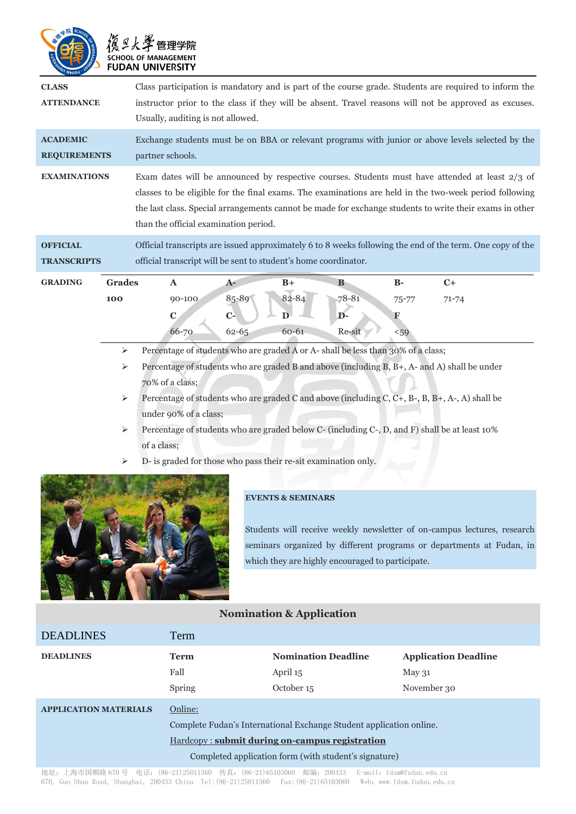| <b>SCHOOL OF MANAGEMENT</b><br><b>FUDAN UNIVERSITY</b> |                                                                                                                                                                                                                                                                                                                                                               |                                    |                             |                                                 |                                |                                                                                                                    |
|--------------------------------------------------------|---------------------------------------------------------------------------------------------------------------------------------------------------------------------------------------------------------------------------------------------------------------------------------------------------------------------------------------------------------------|------------------------------------|-----------------------------|-------------------------------------------------|--------------------------------|--------------------------------------------------------------------------------------------------------------------|
| <b>CLASS</b><br><b>ATTENDANCE</b>                      | Class participation is mandatory and is part of the course grade. Students are required to inform the<br>instructor prior to the class if they will be absent. Travel reasons will not be approved as excuses.<br>Usually, auditing is not allowed.                                                                                                           |                                    |                             |                                                 |                                |                                                                                                                    |
| <b>ACADEMIC</b><br><b>REQUIREMENTS</b>                 | Exchange students must be on BBA or relevant programs with junior or above levels selected by the<br>partner schools.                                                                                                                                                                                                                                         |                                    |                             |                                                 |                                |                                                                                                                    |
| <b>EXAMINATIONS</b>                                    | Exam dates will be announced by respective courses. Students must have attended at least 2/3 of<br>classes to be eligible for the final exams. The examinations are held in the two-week period following<br>the last class. Special arrangements cannot be made for exchange students to write their exams in other<br>than the official examination period. |                                    |                             |                                                 |                                |                                                                                                                    |
| <b>OFFICIAL</b><br><b>TRANSCRIPTS</b>                  | Official transcripts are issued approximately 6 to 8 weeks following the end of the term. One copy of the<br>official transcript will be sent to student's home coordinator.                                                                                                                                                                                  |                                    |                             |                                                 |                                |                                                                                                                    |
| <b>GRADING</b><br><b>Grades</b><br>100<br>⋗            | $\mathbf{A}$<br>90-100<br>$\mathbf C$<br>66-70<br>Percentage of students who are graded A or A- shall be less than 30% of a class;                                                                                                                                                                                                                            | $A-$<br>85-89<br>$C-$<br>$62 - 65$ | $B+$<br>82-84<br>D<br>60-61 | <sub>B</sub><br>78-81<br>$\mathbf{D}$<br>Re-sit | $B-$<br>$75 - 77$<br>F<br>$59$ | $C+$<br>$71 - 74$<br>Depending of students who are graded R and above (including R R $_1$ A, and A) shall be under |

- Percentage of students who are graded B and above (including B, B+, A- and A) shall be under 70% of a class;
- Percentage of students who are graded C and above (including C, C+, B-, B, B+, A-, A) shall be under 90% of a class;
- Percentage of students who are graded below C- (including C-, D, and F) shall be at least 10% of a class;
- $\triangleright$  D- is graded for those who pass their re-sit examination only.



3 復旦火学 管理学院

## **EVENTS & SEMINARS**

Students will receive weekly newsletter of on-campus lectures, research seminars organized by different programs or departments at Fudan, in which they are highly encouraged to participate.

## **Nomination & Application**

| <b>DEADLINES</b>             | Term                                                                                                                                                                                             |                                                                                                                                                                                                                                                                                                     |                                               |  |
|------------------------------|--------------------------------------------------------------------------------------------------------------------------------------------------------------------------------------------------|-----------------------------------------------------------------------------------------------------------------------------------------------------------------------------------------------------------------------------------------------------------------------------------------------------|-----------------------------------------------|--|
| <b>DEADLINES</b>             | <b>Term</b><br>Fall                                                                                                                                                                              | <b>Nomination Deadline</b><br>April 15                                                                                                                                                                                                                                                              | <b>Application Deadline</b><br>$\rm{May\,}31$ |  |
|                              | Spring                                                                                                                                                                                           | October 15                                                                                                                                                                                                                                                                                          | November 30                                   |  |
| <b>APPLICATION MATERIALS</b> | Online:<br>Complete Fudan's International Exchange Student application online.<br><b>Hardcopy:</b> submit during on-campus registration<br>Completed application form (with student's signature) |                                                                                                                                                                                                                                                                                                     |                                               |  |
|                              |                                                                                                                                                                                                  | $10.11$ $1.19$ $\pm$ $1\frac{1}{2}$ $10\frac{1}{2}$ $10\frac{1}{2}$ $10\frac{1}{2}$ $10\frac{1}{2}$ $10\frac{1}{2}$ $10\frac{1}{2}$ $10\frac{1}{2}$ $10\frac{1}{2}$ $10\frac{1}{2}$ $10\frac{1}{2}$ $10\frac{1}{2}$ $10\frac{1}{2}$ $10\frac{1}{2}$ $10\frac{1}{2}$ $10\frac{1}{2}$ $10\frac{1}{2}$ |                                               |  |